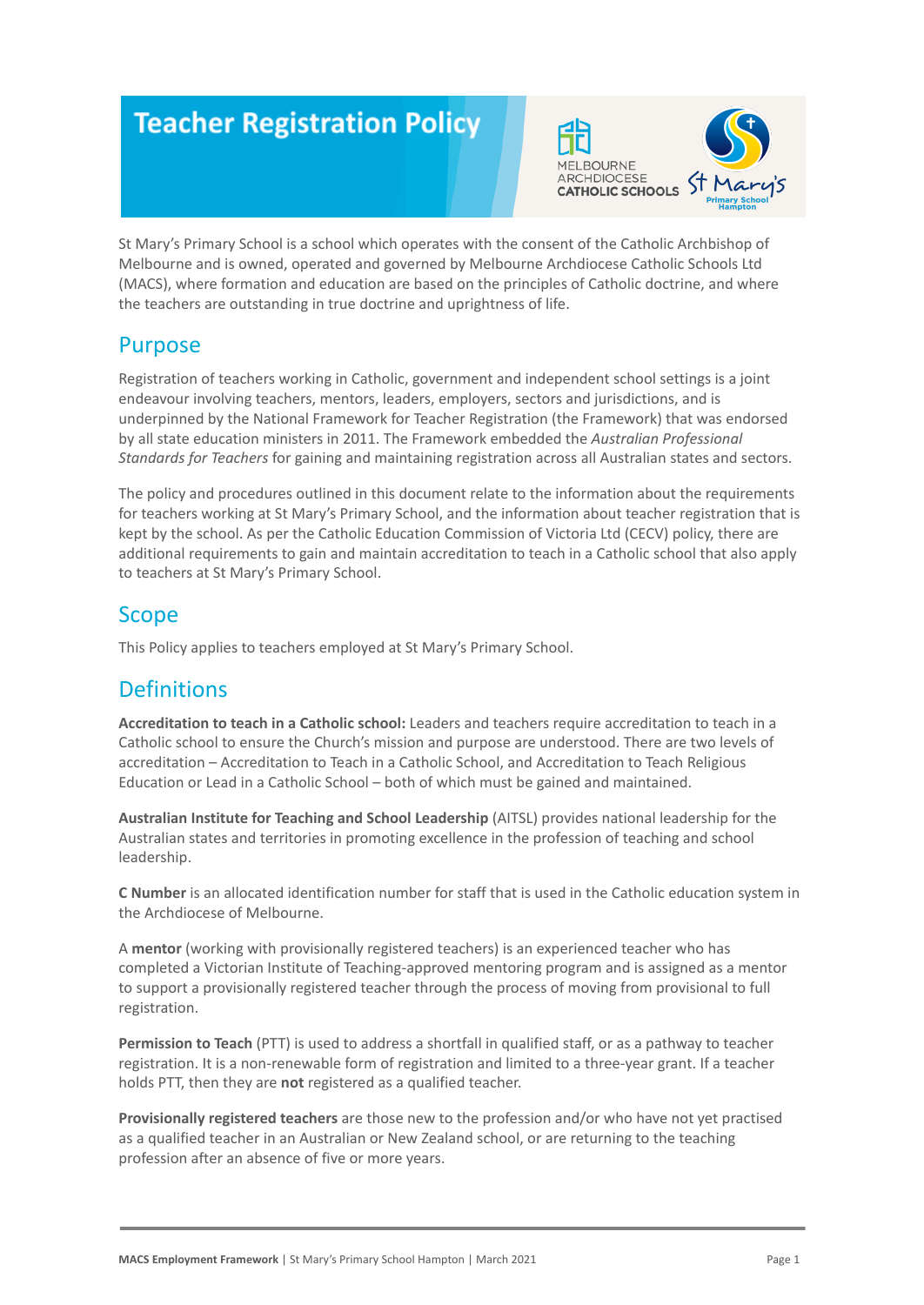# **Teacher Registration Policy**



St Mary's Primary School is a school which operates with the consent of the Catholic Archbishop of Melbourne and is owned, operated and governed by Melbourne Archdiocese Catholic Schools Ltd (MACS), where formation and education are based on the principles of Catholic doctrine, and where the teachers are outstanding in true doctrine and uprightness of life.

### Purpose

Registration of teachers working in Catholic, government and independent school settings is a joint endeavour involving teachers, mentors, leaders, employers, sectors and jurisdictions, and is underpinned by the National Framework for Teacher Registration (the Framework) that was endorsed by all state education ministers in 2011. The Framework embedded the *Australian Professional Standards for Teachers* for gaining and maintaining registration across all Australian states and sectors.

The policy and procedures outlined in this document relate to the information about the requirements for teachers working at St Mary's Primary School, and the information about teacher registration that is kept by the school. As per the Catholic Education Commission of Victoria Ltd (CECV) policy, there are additional requirements to gain and maintain accreditation to teach in a Catholic school that also apply to teachers at St Mary's Primary School.

## **Scope**

This Policy applies to teachers employed at St Mary's Primary School.

# **Definitions**

**Accreditation to teach in a Catholic school:** Leaders and teachers require accreditation to teach in a Catholic school to ensure the Church's mission and purpose are understood. There are two levels of accreditation – Accreditation to Teach in a Catholic School, and Accreditation to Teach Religious Education or Lead in a Catholic School – both of which must be gained and maintained.

**Australian Institute for Teaching and School Leadership** (AITSL) provides national leadership for the Australian states and territories in promoting excellence in the profession of teaching and school leadership.

**C Number** is an allocated identification number for staff that is used in the Catholic education system in the Archdiocese of Melbourne.

A **mentor** (working with provisionally registered teachers) is an experienced teacher who has completed a Victorian Institute of Teaching-approved mentoring program and is assigned as a mentor to support a provisionally registered teacher through the process of moving from provisional to full registration.

**Permission to Teach** (PTT) is used to address a shortfall in qualified staff, or as a pathway to teacher registration. It is a non-renewable form of registration and limited to a three-year grant. If a teacher holds PTT, then they are **not** registered as a qualified teacher.

**Provisionally registered teachers** are those new to the profession and/or who have not yet practised as a qualified teacher in an Australian or New Zealand school, or are returning to the teaching profession after an absence of five or more years.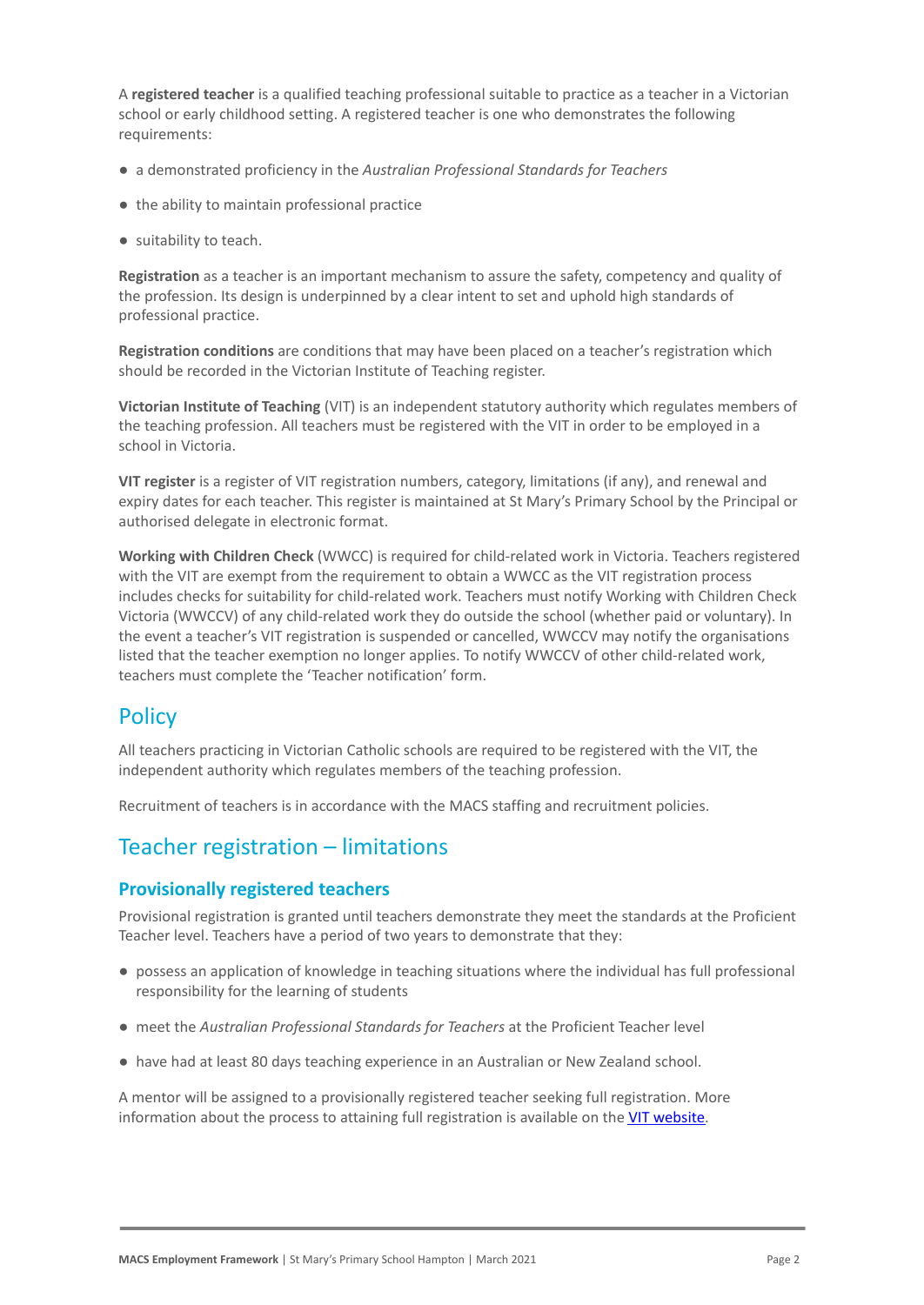A **registered teacher** is a qualified teaching professional suitable to practice as a teacher in a Victorian school or early childhood setting. A registered teacher is one who demonstrates the following requirements:

- a demonstrated proficiency in the *Australian Professional Standards for Teachers*
- the ability to maintain professional practice
- suitability to teach.

**Registration** as a teacher is an important mechanism to assure the safety, competency and quality of the profession. Its design is underpinned by a clear intent to set and uphold high standards of professional practice.

**Registration conditions** are conditions that may have been placed on a teacher's registration which should be recorded in the Victorian Institute of Teaching register.

**Victorian Institute of Teaching** (VIT) is an independent statutory authority which regulates members of the teaching profession. All teachers must be registered with the VIT in order to be employed in a school in Victoria.

**VIT register** is a register of VIT registration numbers, category, limitations (if any), and renewal and expiry dates for each teacher. This register is maintained at St Mary's Primary School by the Principal or authorised delegate in electronic format.

**Working with Children Check** (WWCC) is required for child-related work in Victoria. Teachers registered with the VIT are exempt from the requirement to obtain a WWCC as the VIT registration process includes checks for suitability for child-related work. Teachers must notify Working with Children Check Victoria (WWCCV) of any child-related work they do outside the school (whether paid or voluntary). In the event a teacher's VIT registration is suspended or cancelled, WWCCV may notify the organisations listed that the teacher exemption no longer applies. To notify WWCCV of other child-related work, teachers must complete the 'Teacher notification' form.

### **Policy**

All teachers practicing in Victorian Catholic schools are required to be registered with the VIT, the independent authority which regulates members of the teaching profession.

Recruitment of teachers is in accordance with the MACS staffing and recruitment policies.

### Teacher registration – limitations

#### **Provisionally registered teachers**

Provisional registration is granted until teachers demonstrate they meet the standards at the Proficient Teacher level. Teachers have a period of two years to demonstrate that they:

- possess an application of knowledge in teaching situations where the individual has full professional responsibility for the learning of students
- meet the *Australian Professional Standards for Teachers* at the Proficient Teacher level
- have had at least 80 days teaching experience in an Australian or New Zealand school.

A mentor will be assigned to a provisionally registered teacher seeking full registration. More information about the process to attaining full registration is available on the [VIT website.](https://www.vit.vic.edu.au/registered-teacher/moving-to-full-registration)